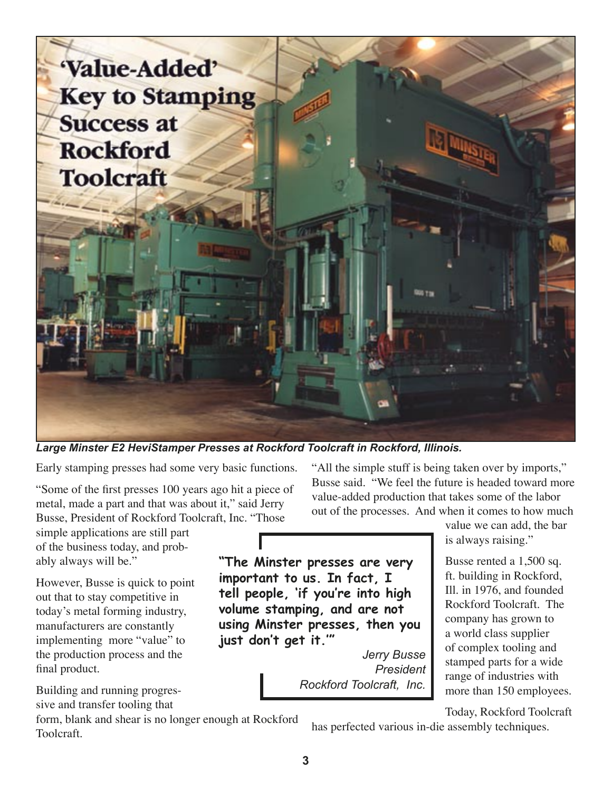

*Large Minster E2 HeviStamper Presses at Rockford Toolcraft in Rockford, Illinois.* 

Early stamping presses had some very basic functions.

"Some of the first presses 100 years ago hit a piece of metal, made a part and that was about it," said Jerry Busse, President of Rockford Toolcraft, Inc. "Those

simple applications are still part of the business today, and probably always will be."

However, Busse is quick to point out that to stay competitive in today's metal forming industry, manufacturers are constantly implementing more "value" to the production process and the final product.

Building and running progressive and transfer tooling that

form, blank and shear is no longer enough at Rockford Toolcraft.

"All the simple stuff is being taken over by imports," Busse said. "We feel the future is headed toward more value-added production that takes some of the labor out of the processes. And when it comes to how much

> value we can add, the bar is always raising."

Busse rented a 1,500 sq. ft. building in Rockford, Ill. in 1976, and founded Rockford Toolcraft. The company has grown to a world class supplier of complex tooling and stamped parts for a wide range of industries with more than 150 employees.

Today, Rockford Toolcraft

has perfected various in-die assembly techniques.

*Jerry Busse President*

*Rockford Toolcraft, Inc.*

**just don't get it.'"**

**"The Minster presses are very important to us. In fact, I tell people, 'if you're into high volume stamping, and are not using Minster presses, then you**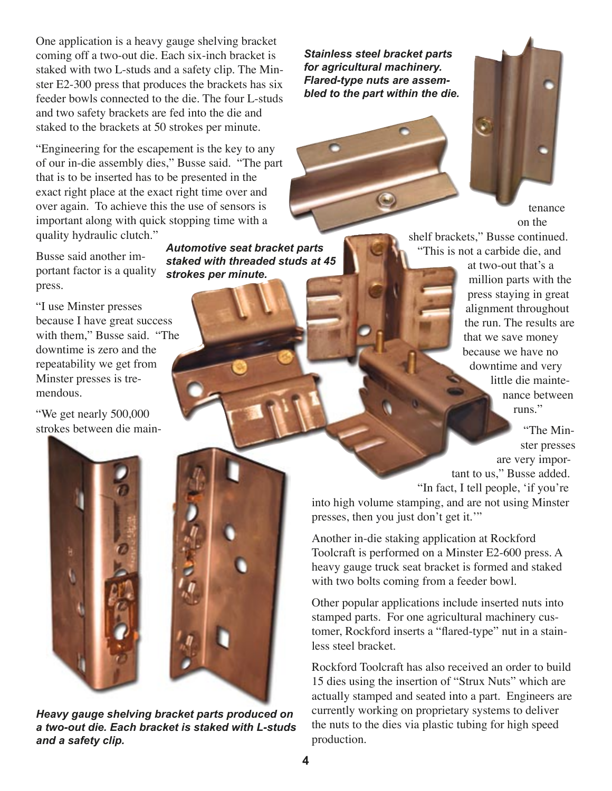One application is a heavy gauge shelving bracket coming off a two-out die. Each six-inch bracket is staked with two L-studs and a safety clip. The Minster E2-300 press that produces the brackets has six feeder bowls connected to the die. The four L-studs and two safety brackets are fed into the die and staked to the brackets at 50 strokes per minute.

"Engineering for the escapement is the key to any of our in-die assembly dies," Busse said. "The part that is to be inserted has to be presented in the exact right place at the exact right time over and over again. To achieve this the use of sensors is important along with quick stopping time with a quality hydraulic clutch."

Busse said another important factor is a quality press.

"I use Minster presses because I have great success with them," Busse said. "The downtime is zero and the repeatability we get from Minster presses is tremendous.

"We get nearly 500,000 strokes between die main-

*Automotive seat bracket parts staked with threaded studs at 45 strokes per minute.*

*Heavy gauge shelving bracket parts produced on a two-out die. Each bracket is staked with L-studs and a safety clip.*

*Stainless steel bracket parts for agricultural machinery. Flared-type nuts are assembled to the part within the die.*



tenance on the

shelf brackets," Busse continued. "This is not a carbide die, and

at two-out that's a million parts with the press staying in great alignment throughout the run. The results are that we save money because we have no downtime and very little die maintenance between runs"

"The Minster presses are very important to us," Busse added. "In fact, I tell people, ʻif you're

into high volume stamping, and are not using Minster presses, then you just don't get it.'"

Another in-die staking application at Rockford Toolcraft is performed on a Minster E2-600 press. A heavy gauge truck seat bracket is formed and staked with two bolts coming from a feeder bowl.

Other popular applications include inserted nuts into stamped parts. For one agricultural machinery customer, Rockford inserts a "flared-type" nut in a stainless steel bracket.

Rockford Toolcraft has also received an order to build 15 dies using the insertion of "Strux Nuts" which are actually stamped and seated into a part. Engineers are currently working on proprietary systems to deliver the nuts to the dies via plastic tubing for high speed production.